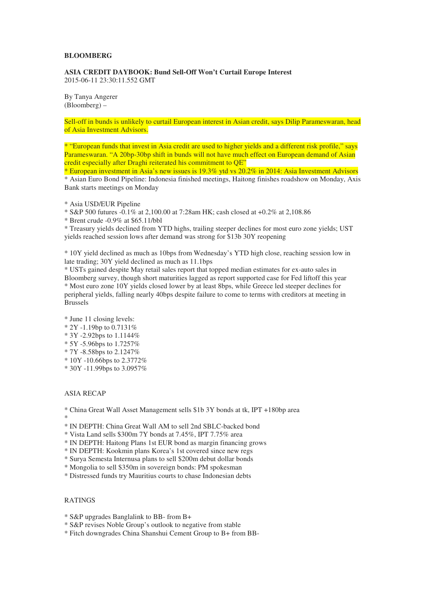## **BLOOMBERG**

**ASIA CREDIT DAYBOOK: Bund Sell-Off Won't Curtail Europe Interest**  2015-06-11 23:30:11.552 GMT

By Tanya Angerer (Bloomberg) –

Sell-off in bunds is unlikely to curtail European interest in Asian credit, says Dilip Parameswaran, head of Asia Investment Advisors.

\* "European funds that invest in Asia credit are used to higher yields and a different risk profile," says Parameswaran. "A 20bp-30bp shift in bunds will not have much effect on European demand of Asian credit especially after Draghi reiterated his commitment to QE"

\* European investment in Asia's new issues is 19.3% ytd vs 20.2% in 2014: Asia Investment Advisors \* Asian Euro Bond Pipeline: Indonesia finished meetings, Haitong finishes roadshow on Monday, Axis Bank starts meetings on Monday

\* S&P 500 futures -0.1% at 2,100.00 at 7:28am HK; cash closed at +0.2% at 2,108.86

\* Brent crude -0.9% at \$65.11/bbl

\* Treasury yields declined from YTD highs, trailing steeper declines for most euro zone yields; UST yields reached session lows after demand was strong for \$13b 30Y reopening

\* 10Y yield declined as much as 10bps from Wednesday's YTD high close, reaching session low in late trading; 30Y yield declined as much as 11.1bps

\* USTs gained despite May retail sales report that topped median estimates for ex-auto sales in Bloomberg survey, though short maturities lagged as report supported case for Fed liftoff this year \* Most euro zone 10Y yields closed lower by at least 8bps, while Greece led steeper declines for peripheral yields, falling nearly 40bps despite failure to come to terms with creditors at meeting in Brussels

\* June 11 closing levels:

- \* 2Y -1.19bp to 0.7131%
- \* 3Y -2.92bps to 1.1144%
- \* 5Y -5.96bps to 1.7257%
- \* 7Y -8.58bps to 2.1247%
- \* 10Y -10.66bps to 2.3772%
- \* 30Y -11.99bps to 3.0957%

## ASIA RECAP

\* China Great Wall Asset Management sells \$1b 3Y bonds at tk, IPT +180bp area

\*

\* IN DEPTH: China Great Wall AM to sell 2nd SBLC-backed bond

\* Vista Land sells \$300m 7Y bonds at 7.45%, IPT 7.75% area

\* IN DEPTH: Haitong Plans 1st EUR bond as margin financing grows

\* IN DEPTH: Kookmin plans Korea's 1st covered since new regs

\* Surya Semesta Internusa plans to sell \$200m debut dollar bonds

\* Mongolia to sell \$350m in sovereign bonds: PM spokesman

\* Distressed funds try Mauritius courts to chase Indonesian debts

## RATINGS

\* S&P upgrades Banglalink to BB- from B+

\* S&P revises Noble Group's outlook to negative from stable

\* Fitch downgrades China Shanshui Cement Group to B+ from BB-

<sup>\*</sup> Asia USD/EUR Pipeline